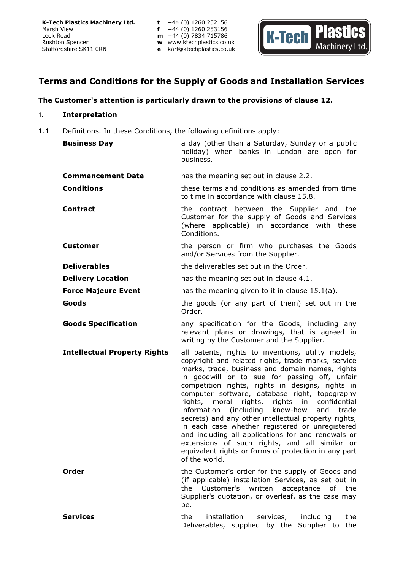

# Terms and Conditions for the Supply of Goods and Installation Services

# The Customer's attention is particularly drawn to the provisions of clause 12.

## **1.** Interpretation

1.1 Definitions. In these Conditions, the following definitions apply:

| <b>Business Day</b>                 | a day (other than a Saturday, Sunday or a public<br>holiday) when banks in London are open for<br>business.                                                                                                                                                                                                                                                                                                                                                                                                                                                                                                                                                                                                              |
|-------------------------------------|--------------------------------------------------------------------------------------------------------------------------------------------------------------------------------------------------------------------------------------------------------------------------------------------------------------------------------------------------------------------------------------------------------------------------------------------------------------------------------------------------------------------------------------------------------------------------------------------------------------------------------------------------------------------------------------------------------------------------|
| <b>Commencement Date</b>            | has the meaning set out in clause 2.2.                                                                                                                                                                                                                                                                                                                                                                                                                                                                                                                                                                                                                                                                                   |
| <b>Conditions</b>                   | these terms and conditions as amended from time<br>to time in accordance with clause 15.8.                                                                                                                                                                                                                                                                                                                                                                                                                                                                                                                                                                                                                               |
| <b>Contract</b>                     | the contract between the Supplier and the<br>Customer for the supply of Goods and Services<br>(where applicable) in accordance with these<br>Conditions.                                                                                                                                                                                                                                                                                                                                                                                                                                                                                                                                                                 |
| <b>Customer</b>                     | the person or firm who purchases the Goods<br>and/or Services from the Supplier.                                                                                                                                                                                                                                                                                                                                                                                                                                                                                                                                                                                                                                         |
| <b>Deliverables</b>                 | the deliverables set out in the Order.                                                                                                                                                                                                                                                                                                                                                                                                                                                                                                                                                                                                                                                                                   |
| <b>Delivery Location</b>            | has the meaning set out in clause 4.1.                                                                                                                                                                                                                                                                                                                                                                                                                                                                                                                                                                                                                                                                                   |
| <b>Force Majeure Event</b>          | has the meaning given to it in clause $15.1(a)$ .                                                                                                                                                                                                                                                                                                                                                                                                                                                                                                                                                                                                                                                                        |
| Goods                               | the goods (or any part of them) set out in the<br>Order.                                                                                                                                                                                                                                                                                                                                                                                                                                                                                                                                                                                                                                                                 |
| <b>Goods Specification</b>          | any specification for the Goods, including any<br>relevant plans or drawings, that is agreed in<br>writing by the Customer and the Supplier.                                                                                                                                                                                                                                                                                                                                                                                                                                                                                                                                                                             |
| <b>Intellectual Property Rights</b> | all patents, rights to inventions, utility models,<br>copyright and related rights, trade marks, service<br>marks, trade, business and domain names, rights<br>in goodwill or to sue for passing off, unfair<br>competition rights, rights in designs, rights in<br>computer software, database right, topography<br>rights, rights in<br>rights, moral<br>confidential<br>(including know-how<br>information<br>and<br>trade<br>secrets) and any other intellectual property rights,<br>in each case whether registered or unregistered<br>and including all applications for and renewals or<br>extensions of such rights, and all similar or<br>equivalent rights or forms of protection in any part<br>of the world. |
| Order                               | the Customer's order for the supply of Goods and<br>(if applicable) installation Services, as set out in<br>the Customer's written<br>acceptance of the<br>Supplier's quotation, or overleaf, as the case may<br>be.                                                                                                                                                                                                                                                                                                                                                                                                                                                                                                     |
| <b>Services</b>                     | the<br>installation<br>services,<br>including<br>the<br>Deliverables, supplied by the Supplier to<br>the                                                                                                                                                                                                                                                                                                                                                                                                                                                                                                                                                                                                                 |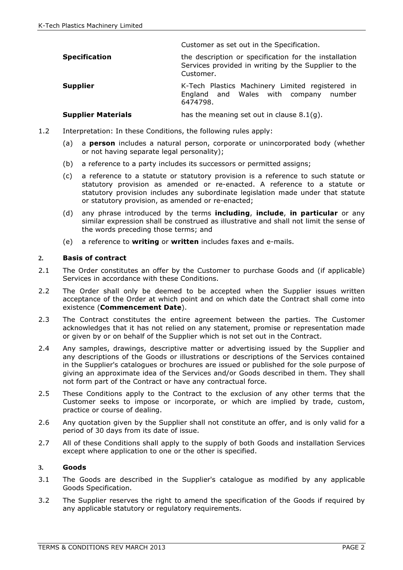|                           | Customer as set out in the Specification.                                                                                 |
|---------------------------|---------------------------------------------------------------------------------------------------------------------------|
| <b>Specification</b>      | the description or specification for the installation<br>Services provided in writing by the Supplier to the<br>Customer. |
| <b>Supplier</b>           | K-Tech Plastics Machinery Limited registered in<br>England and Wales with company number<br>6474798.                      |
| <b>Supplier Materials</b> | has the meaning set out in clause $8.1(q)$ .                                                                              |

- 1.2 Interpretation: In these Conditions, the following rules apply:
	- (a) a **person** includes a natural person, corporate or unincorporated body (whether or not having separate legal personality);
	- (b) a reference to a party includes its successors or permitted assigns;
	- (c) a reference to a statute or statutory provision is a reference to such statute or statutory provision as amended or re-enacted. A reference to a statute or statutory provision includes any subordinate legislation made under that statute or statutory provision, as amended or re-enacted;
	- (d) any phrase introduced by the terms including, include, in particular or any similar expression shall be construed as illustrative and shall not limit the sense of the words preceding those terms; and
	- (e) a reference to writing or written includes faxes and e-mails.

## **2.** Basis of contract

- 2.1 The Order constitutes an offer by the Customer to purchase Goods and (if applicable) Services in accordance with these Conditions.
- 2.2 The Order shall only be deemed to be accepted when the Supplier issues written acceptance of the Order at which point and on which date the Contract shall come into existence (Commencement Date).
- 2.3 The Contract constitutes the entire agreement between the parties. The Customer acknowledges that it has not relied on any statement, promise or representation made or given by or on behalf of the Supplier which is not set out in the Contract.
- 2.4 Any samples, drawings, descriptive matter or advertising issued by the Supplier and any descriptions of the Goods or illustrations or descriptions of the Services contained in the Supplier's catalogues or brochures are issued or published for the sole purpose of giving an approximate idea of the Services and/or Goods described in them. They shall not form part of the Contract or have any contractual force.
- 2.5 These Conditions apply to the Contract to the exclusion of any other terms that the Customer seeks to impose or incorporate, or which are implied by trade, custom, practice or course of dealing.
- 2.6 Any quotation given by the Supplier shall not constitute an offer, and is only valid for a period of 30 days from its date of issue.
- 2.7 All of these Conditions shall apply to the supply of both Goods and installation Services except where application to one or the other is specified.

## **3.** Goods

- 3.1 The Goods are described in the Supplier's catalogue as modified by any applicable Goods Specification.
- 3.2 The Supplier reserves the right to amend the specification of the Goods if required by any applicable statutory or regulatory requirements.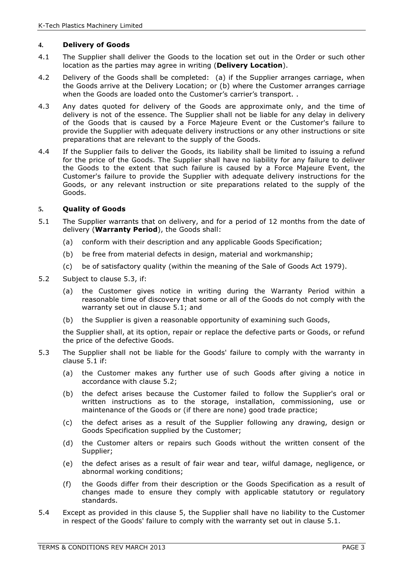# **4.** Delivery of Goods

- 4.1 The Supplier shall deliver the Goods to the location set out in the Order or such other location as the parties may agree in writing (Delivery Location).
- 4.2 Delivery of the Goods shall be completed: (a) if the Supplier arranges carriage, when the Goods arrive at the Delivery Location; or (b) where the Customer arranges carriage when the Goods are loaded onto the Customer's carrier's transport..
- 4.3 Any dates quoted for delivery of the Goods are approximate only, and the time of delivery is not of the essence. The Supplier shall not be liable for any delay in delivery of the Goods that is caused by a Force Majeure Event or the Customer's failure to provide the Supplier with adequate delivery instructions or any other instructions or site preparations that are relevant to the supply of the Goods.
- 4.4 If the Supplier fails to deliver the Goods, its liability shall be limited to issuing a refund for the price of the Goods. The Supplier shall have no liability for any failure to deliver the Goods to the extent that such failure is caused by a Force Majeure Event, the Customer's failure to provide the Supplier with adequate delivery instructions for the Goods, or any relevant instruction or site preparations related to the supply of the Goods.

## **5.** Quality of Goods

- 5.1 The Supplier warrants that on delivery, and for a period of 12 months from the date of delivery (Warranty Period), the Goods shall:
	- (a) conform with their description and any applicable Goods Specification;
	- (b) be free from material defects in design, material and workmanship;
	- (c) be of satisfactory quality (within the meaning of the Sale of Goods Act 1979).
- 5.2 Subject to clause 5.3, if:
	- (a) the Customer gives notice in writing during the Warranty Period within a reasonable time of discovery that some or all of the Goods do not comply with the warranty set out in clause 5.1; and
	- (b) the Supplier is given a reasonable opportunity of examining such Goods,

the Supplier shall, at its option, repair or replace the defective parts or Goods, or refund the price of the defective Goods.

- 5.3 The Supplier shall not be liable for the Goods' failure to comply with the warranty in clause 5.1 if:
	- (a) the Customer makes any further use of such Goods after giving a notice in accordance with clause 5.2;
	- (b) the defect arises because the Customer failed to follow the Supplier's oral or written instructions as to the storage, installation, commissioning, use or maintenance of the Goods or (if there are none) good trade practice;
	- (c) the defect arises as a result of the Supplier following any drawing, design or Goods Specification supplied by the Customer;
	- (d) the Customer alters or repairs such Goods without the written consent of the Supplier;
	- (e) the defect arises as a result of fair wear and tear, wilful damage, negligence, or abnormal working conditions;
	- (f) the Goods differ from their description or the Goods Specification as a result of changes made to ensure they comply with applicable statutory or regulatory standards.
- 5.4 Except as provided in this clause 5, the Supplier shall have no liability to the Customer in respect of the Goods' failure to comply with the warranty set out in clause 5.1.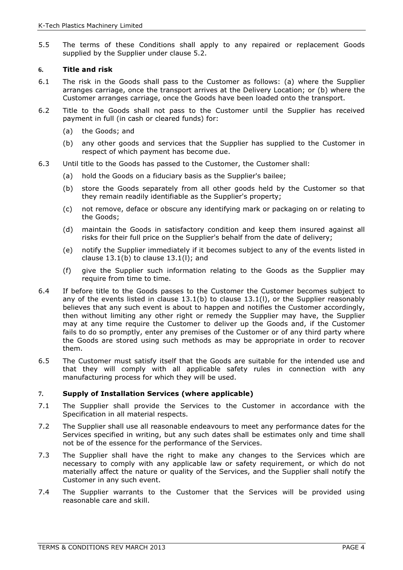5.5 The terms of these Conditions shall apply to any repaired or replacement Goods supplied by the Supplier under clause 5.2.

#### **6.** Title and risk

- 6.1 The risk in the Goods shall pass to the Customer as follows: (a) where the Supplier arranges carriage, once the transport arrives at the Delivery Location; or (b) where the Customer arranges carriage, once the Goods have been loaded onto the transport.
- 6.2 Title to the Goods shall not pass to the Customer until the Supplier has received payment in full (in cash or cleared funds) for:
	- (a) the Goods; and
	- (b) any other goods and services that the Supplier has supplied to the Customer in respect of which payment has become due.
- 6.3 Until title to the Goods has passed to the Customer, the Customer shall:
	- (a) hold the Goods on a fiduciary basis as the Supplier's bailee;
	- (b) store the Goods separately from all other goods held by the Customer so that they remain readily identifiable as the Supplier's property;
	- (c) not remove, deface or obscure any identifying mark or packaging on or relating to the Goods;
	- (d) maintain the Goods in satisfactory condition and keep them insured against all risks for their full price on the Supplier's behalf from the date of delivery;
	- (e) notify the Supplier immediately if it becomes subject to any of the events listed in clause  $13.1(b)$  to clause  $13.1(l)$ ; and
	- (f) give the Supplier such information relating to the Goods as the Supplier may require from time to time.
- 6.4 If before title to the Goods passes to the Customer the Customer becomes subject to any of the events listed in clause  $13.1(b)$  to clause  $13.1(l)$ , or the Supplier reasonably believes that any such event is about to happen and notifies the Customer accordingly, then without limiting any other right or remedy the Supplier may have, the Supplier may at any time require the Customer to deliver up the Goods and, if the Customer fails to do so promptly, enter any premises of the Customer or of any third party where the Goods are stored using such methods as may be appropriate in order to recover them.
- 6.5 The Customer must satisfy itself that the Goods are suitable for the intended use and that they will comply with all applicable safety rules in connection with any manufacturing process for which they will be used.

## **7.** Supply of Installation Services (where applicable)

- 7.1 The Supplier shall provide the Services to the Customer in accordance with the Specification in all material respects.
- 7.2 The Supplier shall use all reasonable endeavours to meet any performance dates for the Services specified in writing, but any such dates shall be estimates only and time shall not be of the essence for the performance of the Services.
- 7.3 The Supplier shall have the right to make any changes to the Services which are necessary to comply with any applicable law or safety requirement, or which do not materially affect the nature or quality of the Services, and the Supplier shall notify the Customer in any such event.
- 7.4 The Supplier warrants to the Customer that the Services will be provided using reasonable care and skill.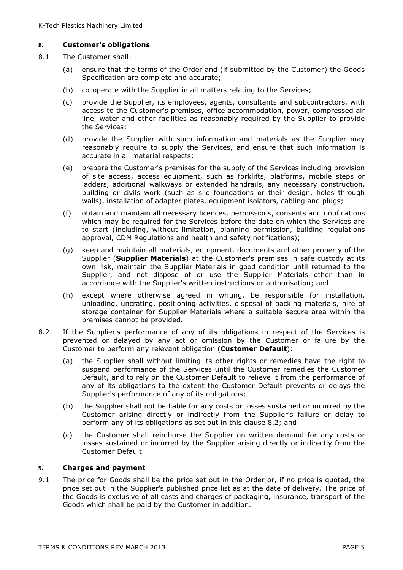## **8.** Customer's obligations

- 8.1 The Customer shall:
	- (a) ensure that the terms of the Order and (if submitted by the Customer) the Goods Specification are complete and accurate;
	- (b) co-operate with the Supplier in all matters relating to the Services;
	- (c) provide the Supplier, its employees, agents, consultants and subcontractors, with access to the Customer's premises, office accommodation, power, compressed air line, water and other facilities as reasonably required by the Supplier to provide the Services;
	- (d) provide the Supplier with such information and materials as the Supplier may reasonably require to supply the Services, and ensure that such information is accurate in all material respects;
	- (e) prepare the Customer's premises for the supply of the Services including provision of site access, access equipment, such as forklifts, platforms, mobile steps or ladders, additional walkways or extended handrails, any necessary construction, building or civils work (such as silo foundations or their design, holes through walls), installation of adapter plates, equipment isolators, cabling and plugs;
	- (f) obtain and maintain all necessary licences, permissions, consents and notifications which may be required for the Services before the date on which the Services are to start (including, without limitation, planning permission, building regulations approval, CDM Regulations and health and safety notifications);
	- (g) keep and maintain all materials, equipment, documents and other property of the Supplier (**Supplier Materials**) at the Customer's premises in safe custody at its own risk, maintain the Supplier Materials in good condition until returned to the Supplier, and not dispose of or use the Supplier Materials other than in accordance with the Supplier's written instructions or authorisation; and
	- (h) except where otherwise agreed in writing, be responsible for installation, unloading, uncrating, positioning activities, disposal of packing materials, hire of storage container for Supplier Materials where a suitable secure area within the premises cannot be provided.
- 8.2 If the Supplier's performance of any of its obligations in respect of the Services is prevented or delayed by any act or omission by the Customer or failure by the Customer to perform any relevant obligation (Customer Default):
	- (a) the Supplier shall without limiting its other rights or remedies have the right to suspend performance of the Services until the Customer remedies the Customer Default, and to rely on the Customer Default to relieve it from the performance of any of its obligations to the extent the Customer Default prevents or delays the Supplier's performance of any of its obligations;
	- (b) the Supplier shall not be liable for any costs or losses sustained or incurred by the Customer arising directly or indirectly from the Supplier's failure or delay to perform any of its obligations as set out in this clause 8.2; and
	- (c) the Customer shall reimburse the Supplier on written demand for any costs or losses sustained or incurred by the Supplier arising directly or indirectly from the Customer Default.

# **9.** Charges and payment

9.1 The price for Goods shall be the price set out in the Order or, if no price is quoted, the price set out in the Supplier's published price list as at the date of delivery. The price of the Goods is exclusive of all costs and charges of packaging, insurance, transport of the Goods which shall be paid by the Customer in addition.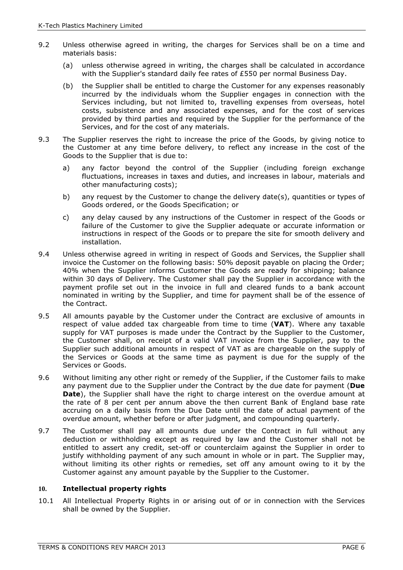- 9.2 Unless otherwise agreed in writing, the charges for Services shall be on a time and materials basis:
	- (a) unless otherwise agreed in writing, the charges shall be calculated in accordance with the Supplier's standard daily fee rates of £550 per normal Business Day.
	- (b) the Supplier shall be entitled to charge the Customer for any expenses reasonably incurred by the individuals whom the Supplier engages in connection with the Services including, but not limited to, travelling expenses from overseas, hotel costs, subsistence and any associated expenses, and for the cost of services provided by third parties and required by the Supplier for the performance of the Services, and for the cost of any materials.
- 9.3 The Supplier reserves the right to increase the price of the Goods, by giving notice to the Customer at any time before delivery, to reflect any increase in the cost of the Goods to the Supplier that is due to:
	- a) any factor beyond the control of the Supplier (including foreign exchange fluctuations, increases in taxes and duties, and increases in labour, materials and other manufacturing costs);
	- b) any request by the Customer to change the delivery date(s), quantities or types of Goods ordered, or the Goods Specification; or
	- c) any delay caused by any instructions of the Customer in respect of the Goods or failure of the Customer to give the Supplier adequate or accurate information or instructions in respect of the Goods or to prepare the site for smooth delivery and installation.
- 9.4 Unless otherwise agreed in writing in respect of Goods and Services, the Supplier shall invoice the Customer on the following basis: 50% deposit payable on placing the Order; 40% when the Supplier informs Customer the Goods are ready for shipping; balance within 30 days of Delivery. The Customer shall pay the Supplier in accordance with the payment profile set out in the invoice in full and cleared funds to a bank account nominated in writing by the Supplier, and time for payment shall be of the essence of the Contract.
- 9.5 All amounts payable by the Customer under the Contract are exclusive of amounts in respect of value added tax chargeable from time to time (VAT). Where any taxable supply for VAT purposes is made under the Contract by the Supplier to the Customer, the Customer shall, on receipt of a valid VAT invoice from the Supplier, pay to the Supplier such additional amounts in respect of VAT as are chargeable on the supply of the Services or Goods at the same time as payment is due for the supply of the Services or Goods.
- 9.6 Without limiting any other right or remedy of the Supplier, if the Customer fails to make any payment due to the Supplier under the Contract by the due date for payment (Due Date), the Supplier shall have the right to charge interest on the overdue amount at the rate of 8 per cent per annum above the then current Bank of England base rate accruing on a daily basis from the Due Date until the date of actual payment of the overdue amount, whether before or after judgment, and compounding quarterly.
- 9.7 The Customer shall pay all amounts due under the Contract in full without any deduction or withholding except as required by law and the Customer shall not be entitled to assert any credit, set-off or counterclaim against the Supplier in order to justify withholding payment of any such amount in whole or in part. The Supplier may, without limiting its other rights or remedies, set off any amount owing to it by the Customer against any amount payable by the Supplier to the Customer.

## **10.** Intellectual property rights

10.1 All Intellectual Property Rights in or arising out of or in connection with the Services shall be owned by the Supplier.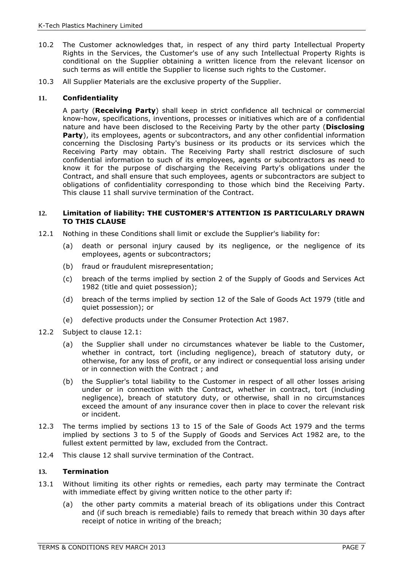- 10.2 The Customer acknowledges that, in respect of any third party Intellectual Property Rights in the Services, the Customer's use of any such Intellectual Property Rights is conditional on the Supplier obtaining a written licence from the relevant licensor on such terms as will entitle the Supplier to license such rights to the Customer.
- 10.3 All Supplier Materials are the exclusive property of the Supplier.

## **11.** Confidentiality

A party (Receiving Party) shall keep in strict confidence all technical or commercial know-how, specifications, inventions, processes or initiatives which are of a confidential nature and have been disclosed to the Receiving Party by the other party (Disclosing Party), its employees, agents or subcontractors, and any other confidential information concerning the Disclosing Party's business or its products or its services which the Receiving Party may obtain. The Receiving Party shall restrict disclosure of such confidential information to such of its employees, agents or subcontractors as need to know it for the purpose of discharging the Receiving Party's obligations under the Contract, and shall ensure that such employees, agents or subcontractors are subject to obligations of confidentiality corresponding to those which bind the Receiving Party. This clause 11 shall survive termination of the Contract.

#### **12.** Limitation of liability: THE CUSTOMER'S ATTENTION IS PARTICULARLY DRAWN TO THIS CLAUSE

- 12.1 Nothing in these Conditions shall limit or exclude the Supplier's liability for:
	- (a) death or personal injury caused by its negligence, or the negligence of its employees, agents or subcontractors;
	- (b) fraud or fraudulent misrepresentation;
	- (c) breach of the terms implied by section 2 of the Supply of Goods and Services Act 1982 (title and quiet possession);
	- (d) breach of the terms implied by section 12 of the Sale of Goods Act 1979 (title and quiet possession); or
	- (e) defective products under the Consumer Protection Act 1987.
- 12.2 Subject to clause 12.1:
	- (a) the Supplier shall under no circumstances whatever be liable to the Customer, whether in contract, tort (including negligence), breach of statutory duty, or otherwise, for any loss of profit, or any indirect or consequential loss arising under or in connection with the Contract ; and
	- (b) the Supplier's total liability to the Customer in respect of all other losses arising under or in connection with the Contract, whether in contract, tort (including negligence), breach of statutory duty, or otherwise, shall in no circumstances exceed the amount of any insurance cover then in place to cover the relevant risk or incident.
- 12.3 The terms implied by sections 13 to 15 of the Sale of Goods Act 1979 and the terms implied by sections 3 to 5 of the Supply of Goods and Services Act 1982 are, to the fullest extent permitted by law, excluded from the Contract.
- 12.4 This clause 12 shall survive termination of the Contract.

## **13.** Termination

- 13.1 Without limiting its other rights or remedies, each party may terminate the Contract with immediate effect by giving written notice to the other party if:
	- (a) the other party commits a material breach of its obligations under this Contract and (if such breach is remediable) fails to remedy that breach within 30 days after receipt of notice in writing of the breach;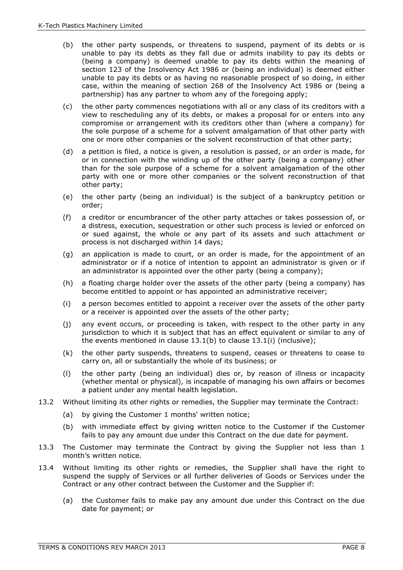- (b) the other party suspends, or threatens to suspend, payment of its debts or is unable to pay its debts as they fall due or admits inability to pay its debts or (being a company) is deemed unable to pay its debts within the meaning of section 123 of the Insolvency Act 1986 or (being an individual) is deemed either unable to pay its debts or as having no reasonable prospect of so doing, in either case, within the meaning of section 268 of the Insolvency Act 1986 or (being a partnership) has any partner to whom any of the foregoing apply;
- (c) the other party commences negotiations with all or any class of its creditors with a view to rescheduling any of its debts, or makes a proposal for or enters into any compromise or arrangement with its creditors other than (where a company) for the sole purpose of a scheme for a solvent amalgamation of that other party with one or more other companies or the solvent reconstruction of that other party;
- (d) a petition is filed, a notice is given, a resolution is passed, or an order is made, for or in connection with the winding up of the other party (being a company) other than for the sole purpose of a scheme for a solvent amalgamation of the other party with one or more other companies or the solvent reconstruction of that other party;
- (e) the other party (being an individual) is the subject of a bankruptcy petition or order;
- (f) a creditor or encumbrancer of the other party attaches or takes possession of, or a distress, execution, sequestration or other such process is levied or enforced on or sued against, the whole or any part of its assets and such attachment or process is not discharged within 14 days;
- (g) an application is made to court, or an order is made, for the appointment of an administrator or if a notice of intention to appoint an administrator is given or if an administrator is appointed over the other party (being a company);
- (h) a floating charge holder over the assets of the other party (being a company) has become entitled to appoint or has appointed an administrative receiver;
- (i) a person becomes entitled to appoint a receiver over the assets of the other party or a receiver is appointed over the assets of the other party;
- (j) any event occurs, or proceeding is taken, with respect to the other party in any jurisdiction to which it is subject that has an effect equivalent or similar to any of the events mentioned in clause 13.1(b) to clause 13.1(i) (inclusive);
- (k) the other party suspends, threatens to suspend, ceases or threatens to cease to carry on, all or substantially the whole of its business; or
- (l) the other party (being an individual) dies or, by reason of illness or incapacity (whether mental or physical), is incapable of managing his own affairs or becomes a patient under any mental health legislation.
- 13.2 Without limiting its other rights or remedies, the Supplier may terminate the Contract:
	- (a) by giving the Customer 1 months' written notice;
	- (b) with immediate effect by giving written notice to the Customer if the Customer fails to pay any amount due under this Contract on the due date for payment.
- 13.3 The Customer may terminate the Contract by giving the Supplier not less than 1 month's written notice.
- 13.4 Without limiting its other rights or remedies, the Supplier shall have the right to suspend the supply of Services or all further deliveries of Goods or Services under the Contract or any other contract between the Customer and the Supplier if:
	- (a) the Customer fails to make pay any amount due under this Contract on the due date for payment; or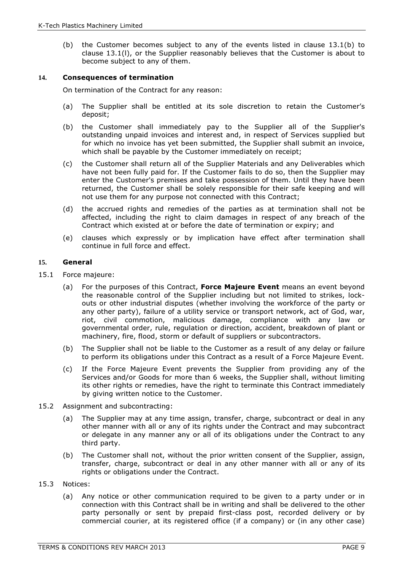(b) the Customer becomes subject to any of the events listed in clause 13.1(b) to clause 13.1(l), or the Supplier reasonably believes that the Customer is about to become subject to any of them.

#### **14.** Consequences of termination

On termination of the Contract for any reason:

- (a) The Supplier shall be entitled at its sole discretion to retain the Customer's deposit;
- (b) the Customer shall immediately pay to the Supplier all of the Supplier's outstanding unpaid invoices and interest and, in respect of Services supplied but for which no invoice has yet been submitted, the Supplier shall submit an invoice, which shall be payable by the Customer immediately on receipt;
- (c) the Customer shall return all of the Supplier Materials and any Deliverables which have not been fully paid for. If the Customer fails to do so, then the Supplier may enter the Customer's premises and take possession of them. Until they have been returned, the Customer shall be solely responsible for their safe keeping and will not use them for any purpose not connected with this Contract;
- (d) the accrued rights and remedies of the parties as at termination shall not be affected, including the right to claim damages in respect of any breach of the Contract which existed at or before the date of termination or expiry; and
- (e) clauses which expressly or by implication have effect after termination shall continue in full force and effect.

#### **15.** General

- 15.1 Force majeure:
	- (a) For the purposes of this Contract, Force Majeure Event means an event beyond the reasonable control of the Supplier including but not limited to strikes, lockouts or other industrial disputes (whether involving the workforce of the party or any other party), failure of a utility service or transport network, act of God, war, riot, civil commotion, malicious damage, compliance with any law or governmental order, rule, regulation or direction, accident, breakdown of plant or machinery, fire, flood, storm or default of suppliers or subcontractors.
	- (b) The Supplier shall not be liable to the Customer as a result of any delay or failure to perform its obligations under this Contract as a result of a Force Majeure Event.
	- (c) If the Force Majeure Event prevents the Supplier from providing any of the Services and/or Goods for more than 6 weeks, the Supplier shall, without limiting its other rights or remedies, have the right to terminate this Contract immediately by giving written notice to the Customer.
- 15.2 Assignment and subcontracting:
	- (a) The Supplier may at any time assign, transfer, charge, subcontract or deal in any other manner with all or any of its rights under the Contract and may subcontract or delegate in any manner any or all of its obligations under the Contract to any third party.
	- (b) The Customer shall not, without the prior written consent of the Supplier, assign, transfer, charge, subcontract or deal in any other manner with all or any of its rights or obligations under the Contract.
- 15.3 Notices:
	- (a) Any notice or other communication required to be given to a party under or in connection with this Contract shall be in writing and shall be delivered to the other party personally or sent by prepaid first-class post, recorded delivery or by commercial courier, at its registered office (if a company) or (in any other case)